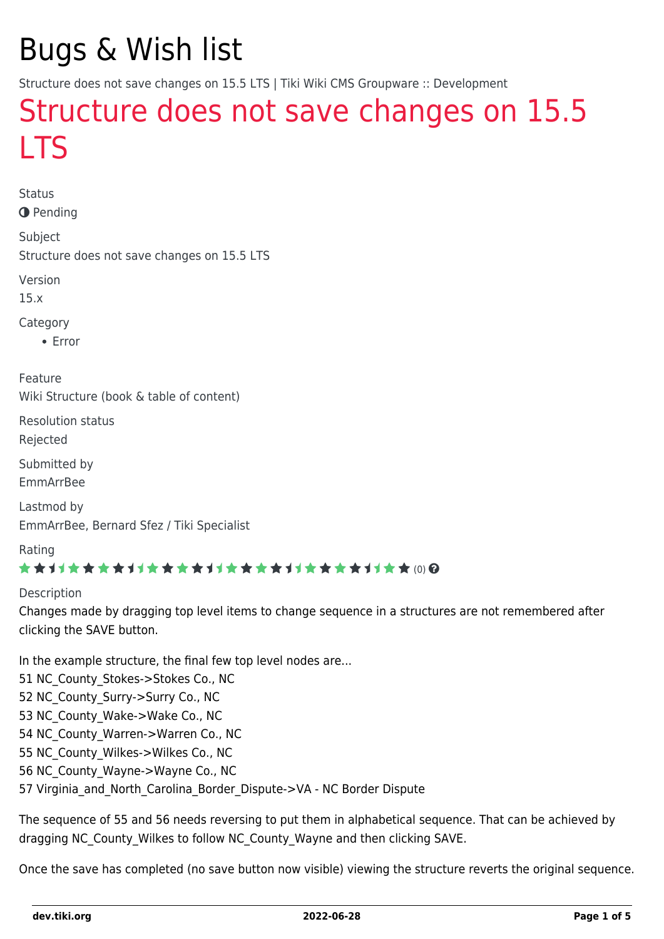# Bugs & Wish list

Structure does not save changes on 15.5 LTS | Tiki Wiki CMS Groupware :: Development

# [Structure does not save changes on 15.5](https://dev.tiki.org/item6590-Structure-does-not-save-changes-on-15-5-LTS) **[LTS](https://dev.tiki.org/item6590-Structure-does-not-save-changes-on-15-5-LTS)**

Status **O** Pending

Subject Structure does not save changes on 15.5 LTS

Version

15.x

Category

Error

Feature Wiki Structure (book & table of content)

Resolution status

Rejected

Submitted by EmmArrBee

Lastmod by EmmArrBee, Bernard Sfez / Tiki Specialist

Rating

### \*\*\*\*\*\*\*\*\*\*\*\*\*\*\*\*\*\*\*\*\*\*\*\*\*\*\*\*\*\*

#### Description

Changes made by dragging top level items to change sequence in a structures are not remembered after clicking the SAVE button.

In the example structure, the final few top level nodes are... 51 NC County Stokes->Stokes Co., NC 52 NC County Surry->Surry Co., NC 53 NC County Wake->Wake Co., NC 54 NC County Warren->Warren Co., NC 55 NC County Wilkes->Wilkes Co., NC 56 NC County Wayne->Wayne Co., NC 57 Virginia and North Carolina Border Dispute->VA - NC Border Dispute

The sequence of 55 and 56 needs reversing to put them in alphabetical sequence. That can be achieved by dragging NC County Wilkes to follow NC County Wayne and then clicking SAVE.

Once the save has completed (no save button now visible) viewing the structure reverts the original sequence.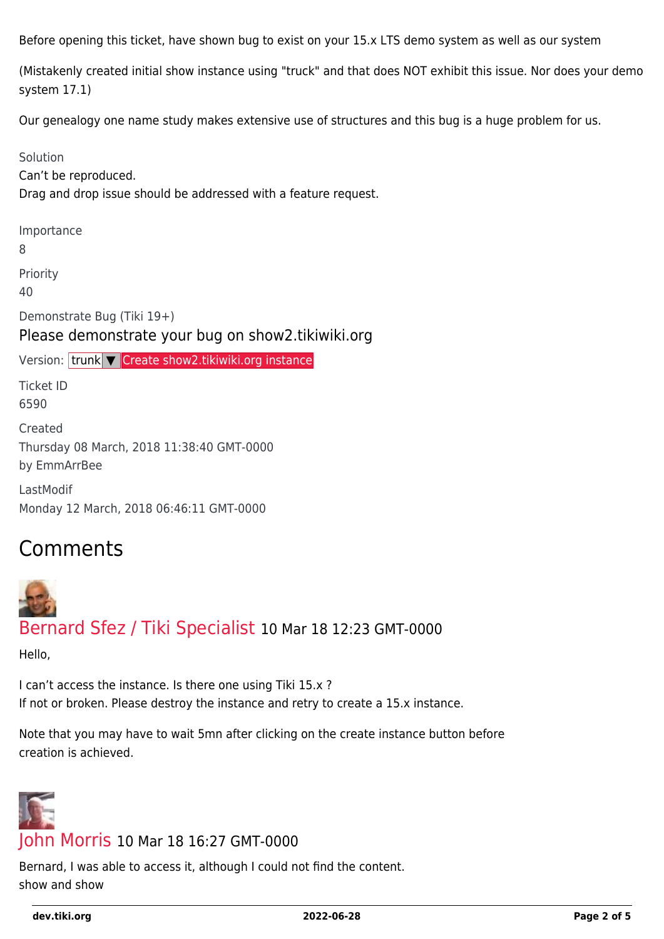Before opening this ticket, have shown bug to exist on your 15.x LTS demo system as well as our system

(Mistakenly created initial show instance using "truck" and that does NOT exhibit this issue. Nor does your demo system 17.1)

Our genealogy one name study makes extensive use of structures and this bug is a huge problem for us.

#### Solution

Can't be reproduced.

Drag and drop issue should be addressed with a feature request.

Importance

8

Priority

40

Demonstrate Bug (Tiki 19+)

### Please demonstrate your bug on show2.tikiwiki.org

Version: trunk ▼ [Create show2.tikiwiki.org instance](#page--1-0)

Ticket ID 6590

Created Thursday 08 March, 2018 11:38:40 GMT-0000 by EmmArrBee

LastModif Monday 12 March, 2018 06:46:11 GMT-0000

# Comments

# [Bernard Sfez / Tiki Specialist](https://dev.tiki.org/user11581) 10 Mar 18 12:23 GMT-0000

Hello,

I can't access the instance. Is there one using Tiki 15.x ? If not or broken. Please destroy the instance and retry to create a 15.x instance.

Note that you may have to wait 5mn after clicking on the create instance button before creation is achieved.



### [John Morris](https://dev.tiki.org/user11758) 10 Mar 18 16:27 GMT-0000

Bernard, I was able to access it, although I could not find the content. show and show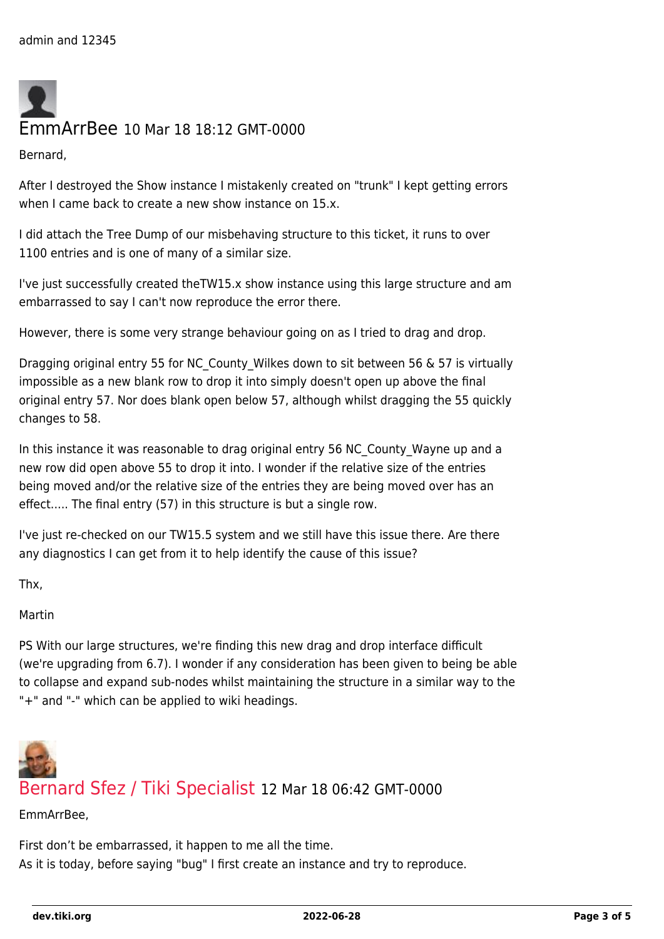

**Bernard** 

After I destroyed the Show instance I mistakenly created on "trunk" I kept getting errors when I came back to create a new show instance on 15.x.

I did attach the Tree Dump of our misbehaving structure to this ticket, it runs to over 1100 entries and is one of many of a similar size.

I've just successfully created theTW15.x show instance using this large structure and am embarrassed to say I can't now reproduce the error there.

However, there is some very strange behaviour going on as I tried to drag and drop.

Dragging original entry 55 for NC County Wilkes down to sit between 56 & 57 is virtually impossible as a new blank row to drop it into simply doesn't open up above the final original entry 57. Nor does blank open below 57, although whilst dragging the 55 quickly changes to 58.

In this instance it was reasonable to drag original entry 56 NC\_County\_Wayne up and a new row did open above 55 to drop it into. I wonder if the relative size of the entries being moved and/or the relative size of the entries they are being moved over has an effect..... The final entry (57) in this structure is but a single row.

I've just re-checked on our TW15.5 system and we still have this issue there. Are there any diagnostics I can get from it to help identify the cause of this issue?

Thx,

Martin

PS With our large structures, we're finding this new drag and drop interface difficult (we're upgrading from 6.7). I wonder if any consideration has been given to being be able to collapse and expand sub-nodes whilst maintaining the structure in a similar way to the "+" and "-" which can be applied to wiki headings.



EmmArrBee,

First don't be embarrassed, it happen to me all the time. As it is today, before saying "bug" I first create an instance and try to reproduce.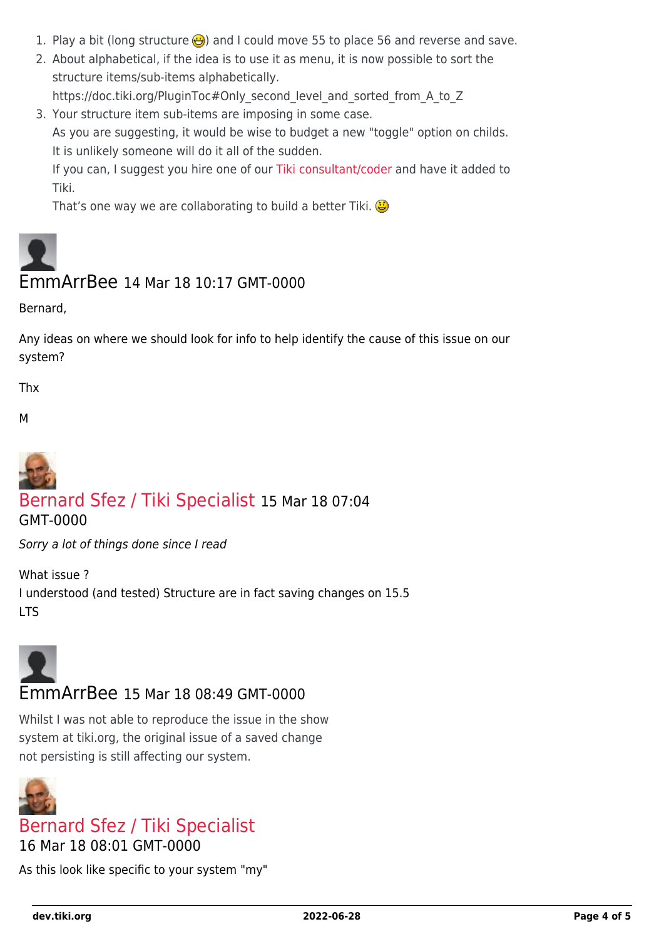- 1. Play a bit (long structure  $\bigoplus$ ) and I could move 55 to place 56 and reverse and save.
- 2. About alphabetical, if the idea is to use it as menu, it is now possible to sort the structure items/sub-items alphabetically.

https://doc.tiki.org/PluginToc#Only\_second\_level\_and\_sorted\_from\_A\_to\_Z

3. Your structure item sub-items are imposing in some case. As you are suggesting, it would be wise to budget a new "toggle" option on childs. It is unlikely someone will do it all of the sudden.

If you can, I suggest you hire one of our [Tiki consultant/coder](https://tiki.org/Consultants) and have it added to Tiki.

That's one way we are collaborating to build a better Tiki.

# EmmArrBee 14 Mar 18 10:17 GMT-0000

Bernard,

Any ideas on where we should look for info to help identify the cause of this issue on our system?

Thx

M



## [Bernard Sfez / Tiki Specialist](https://dev.tiki.org/user11581) 15 Mar 18 07:04

GMT-0000

Sorry a lot of things done since I read

What issue ? I understood (and tested) Structure are in fact saving changes on 15.5 LTS



### EmmArrBee 15 Mar 18 08:49 GMT-0000

Whilst I was not able to reproduce the issue in the show system at tiki.org, the original issue of a saved change not persisting is still affecting our system.



## [Bernard Sfez / Tiki Specialist](https://dev.tiki.org/user11581)

16 Mar 18 08:01 GMT-0000

As this look like specific to your system "my"